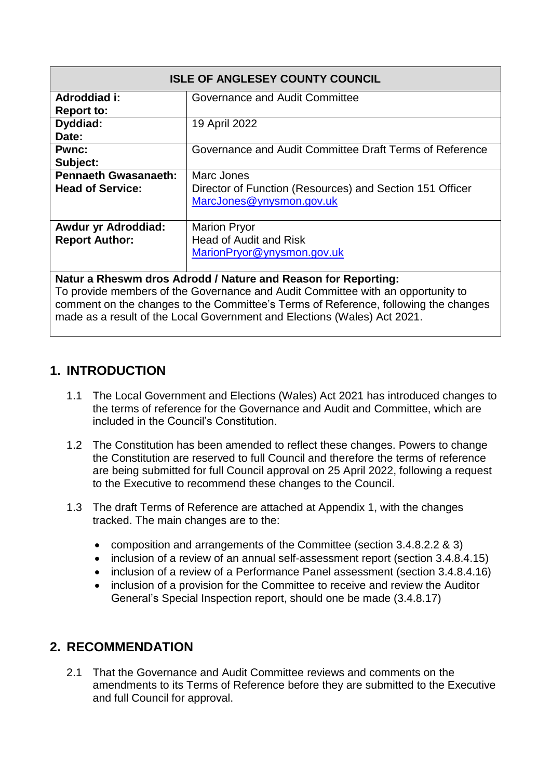| <b>ISLE OF ANGLESEY COUNTY COUNCIL</b>                        |                                                                                                    |
|---------------------------------------------------------------|----------------------------------------------------------------------------------------------------|
| Adroddiad i:<br><b>Report to:</b>                             | Governance and Audit Committee                                                                     |
| Dyddiad:<br>Date:                                             | 19 April 2022                                                                                      |
| <b>Pwnc:</b><br>Subject:                                      | Governance and Audit Committee Draft Terms of Reference                                            |
| <b>Pennaeth Gwasanaeth:</b><br><b>Head of Service:</b>        | Marc Jones<br>Director of Function (Resources) and Section 151 Officer<br>MarcJones@ynysmon.gov.uk |
| Awdur yr Adroddiad:<br><b>Report Author:</b>                  | <b>Marion Pryor</b><br><b>Head of Audit and Risk</b><br>MarionPryor@ynysmon.gov.uk                 |
| Natur a Rheswm dros Adrodd / Nature and Reason for Reporting: |                                                                                                    |

To provide members of the Governance and Audit Committee with an opportunity to comment on the changes to the Committee's Terms of Reference, following the changes made as a result of the Local Government and Elections (Wales) Act 2021.

# **1. INTRODUCTION**

- 1.1 The Local Government and Elections (Wales) Act 2021 has introduced changes to the terms of reference for the Governance and Audit and Committee, which are included in the Council's Constitution.
- 1.2 The Constitution has been amended to reflect these changes. Powers to change the Constitution are reserved to full Council and therefore the terms of reference are being submitted for full Council approval on 25 April 2022, following a request to the Executive to recommend these changes to the Council.
- 1.3 The draft Terms of Reference are attached at Appendix 1, with the changes tracked. The main changes are to the:
	- composition and arrangements of the Committee (section 3.4.8.2.2 & 3)
	- inclusion of a review of an annual self-assessment report (section 3.4.8.4.15)
	- inclusion of a review of a Performance Panel assessment (section 3.4.8.4.16)
	- inclusion of a provision for the Committee to receive and review the Auditor General's Special Inspection report, should one be made (3.4.8.17)

# **2. RECOMMENDATION**

2.1 That the Governance and Audit Committee reviews and comments on the amendments to its Terms of Reference before they are submitted to the Executive and full Council for approval.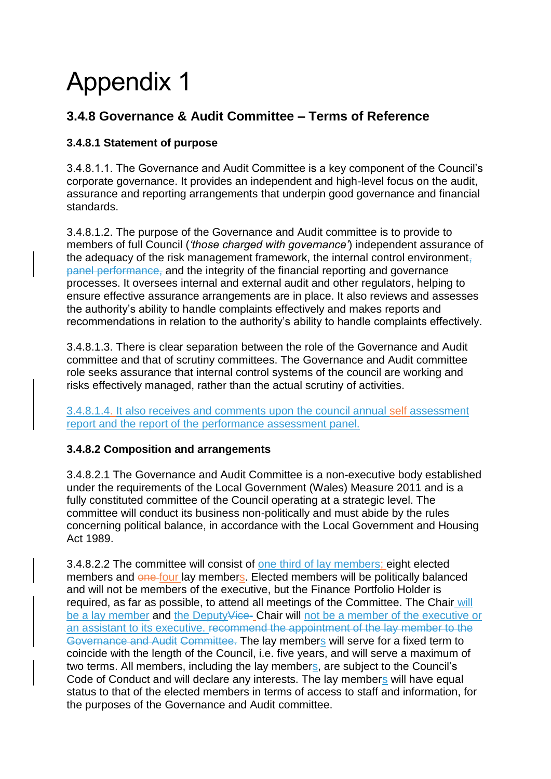# Appendix 1

# **3.4.8 Governance & Audit Committee – Terms of Reference**

#### **3.4.8.1 Statement of purpose**

3.4.8.1.1. The Governance and Audit Committee is a key component of the Council's corporate governance. It provides an independent and high-level focus on the audit, assurance and reporting arrangements that underpin good governance and financial standards.

3.4.8.1.2. The purpose of the Governance and Audit committee is to provide to members of full Council (*'those charged with governance'*) independent assurance of the adequacy of the risk management framework, the internal control environment, panel performance, and the integrity of the financial reporting and governance processes. It oversees internal and external audit and other regulators, helping to ensure effective assurance arrangements are in place. It also reviews and assesses the authority's ability to handle complaints effectively and makes reports and recommendations in relation to the authority's ability to handle complaints effectively.

3.4.8.1.3. There is clear separation between the role of the Governance and Audit committee and that of scrutiny committees. The Governance and Audit committee role seeks assurance that internal control systems of the council are working and risks effectively managed, rather than the actual scrutiny of activities.

3.4.8.1.4. It also receives and comments upon the council annual self assessment report and the report of the performance assessment panel.

#### **3.4.8.2 Composition and arrangements**

3.4.8.2.1 The Governance and Audit Committee is a non-executive body established under the requirements of the Local Government (Wales) Measure 2011 and is a fully constituted committee of the Council operating at a strategic level. The committee will conduct its business non-politically and must abide by the rules concerning political balance, in accordance with the Local Government and Housing Act 1989.

3.4.8.2.2 The committee will consist of one third of lay members; eight elected members and one four lay members. Elected members will be politically balanced and will not be members of the executive, but the Finance Portfolio Holder is required, as far as possible, to attend all meetings of the Committee. The Chair will be a lay member and the Deputy<del>Vice</del>- Chair will not be a member of the executive or an assistant to its executive. recommend the appointment of the lay member to the Governance and Audit Committee. The lay members will serve for a fixed term to coincide with the length of the Council, i.e. five years, and will serve a maximum of two terms. All members, including the lay members, are subject to the Council's Code of Conduct and will declare any interests. The lay members will have equal status to that of the elected members in terms of access to staff and information, for the purposes of the Governance and Audit committee.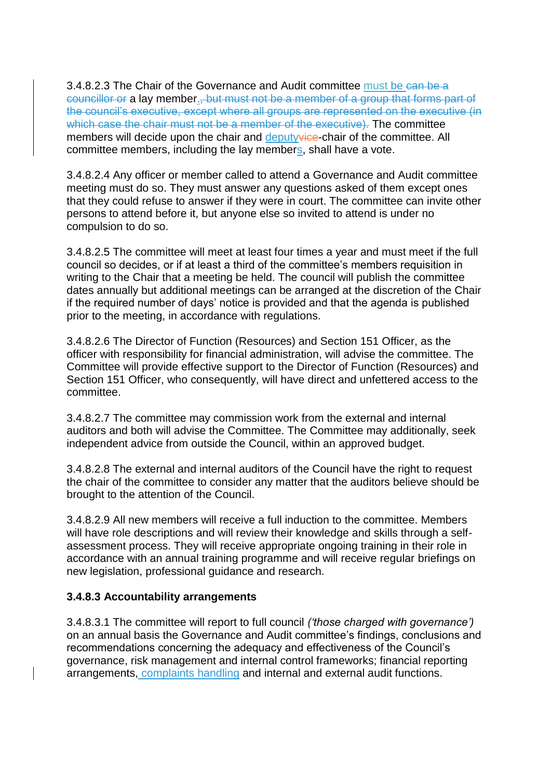3.4.8.2.3 The Chair of the Governance and Audit committee must be can be a councillor or a lay member., but must not be a member of a group that forms part of the council's executive, except where all groups are represented on the executive (in which case the chair must not be a member of the executive). The committee members will decide upon the chair and deputyvice-chair of the committee. All committee members, including the lay members, shall have a vote.

3.4.8.2.4 Any officer or member called to attend a Governance and Audit committee meeting must do so. They must answer any questions asked of them except ones that they could refuse to answer if they were in court. The committee can invite other persons to attend before it, but anyone else so invited to attend is under no compulsion to do so.

3.4.8.2.5 The committee will meet at least four times a year and must meet if the full council so decides, or if at least a third of the committee's members requisition in writing to the Chair that a meeting be held. The council will publish the committee dates annually but additional meetings can be arranged at the discretion of the Chair if the required number of days' notice is provided and that the agenda is published prior to the meeting, in accordance with regulations.

3.4.8.2.6 The Director of Function (Resources) and Section 151 Officer, as the officer with responsibility for financial administration, will advise the committee. The Committee will provide effective support to the Director of Function (Resources) and Section 151 Officer, who consequently, will have direct and unfettered access to the committee.

3.4.8.2.7 The committee may commission work from the external and internal auditors and both will advise the Committee. The Committee may additionally, seek independent advice from outside the Council, within an approved budget.

3.4.8.2.8 The external and internal auditors of the Council have the right to request the chair of the committee to consider any matter that the auditors believe should be brought to the attention of the Council.

3.4.8.2.9 All new members will receive a full induction to the committee. Members will have role descriptions and will review their knowledge and skills through a selfassessment process. They will receive appropriate ongoing training in their role in accordance with an annual training programme and will receive regular briefings on new legislation, professional guidance and research.

#### **3.4.8.3 Accountability arrangements**

3.4.8.3.1 The committee will report to full council *('those charged with governance')*  on an annual basis the Governance and Audit committee's findings, conclusions and recommendations concerning the adequacy and effectiveness of the Council's governance, risk management and internal control frameworks; financial reporting arrangements, complaints handling and internal and external audit functions.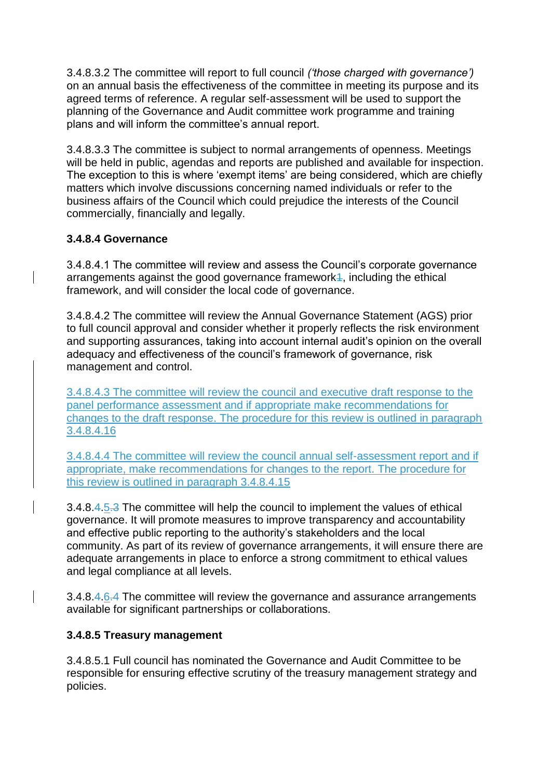3.4.8.3.2 The committee will report to full council *('those charged with governance')*  on an annual basis the effectiveness of the committee in meeting its purpose and its agreed terms of reference. A regular self-assessment will be used to support the planning of the Governance and Audit committee work programme and training plans and will inform the committee's annual report.

3.4.8.3.3 The committee is subject to normal arrangements of openness. Meetings will be held in public, agendas and reports are published and available for inspection. The exception to this is where 'exempt items' are being considered, which are chiefly matters which involve discussions concerning named individuals or refer to the business affairs of the Council which could prejudice the interests of the Council commercially, financially and legally.

#### **3.4.8.4 Governance**

3.4.8.4.1 The committee will review and assess the Council's corporate governance arrangements against the good governance framework<sup>4</sup>, including the ethical framework, and will consider the local code of governance.

3.4.8.4.2 The committee will review the Annual Governance Statement (AGS) prior to full council approval and consider whether it properly reflects the risk environment and supporting assurances, taking into account internal audit's opinion on the overall adequacy and effectiveness of the council's framework of governance, risk management and control.

3.4.8.4.3 The committee will review the council and executive draft response to the panel performance assessment and if appropriate make recommendations for changes to the draft response. The procedure for this review is outlined in paragraph 3.4.8.4.16

3.4.8.4.4 The committee will review the council annual self-assessment report and if appropriate, make recommendations for changes to the report. The procedure for this review is outlined in paragraph 3.4.8.4.15

3.4.8.4.5.3 The committee will help the council to implement the values of ethical governance. It will promote measures to improve transparency and accountability and effective public reporting to the authority's stakeholders and the local community. As part of its review of governance arrangements, it will ensure there are adequate arrangements in place to enforce a strong commitment to ethical values and legal compliance at all levels.

3.4.8.4.6.4 The committee will review the governance and assurance arrangements available for significant partnerships or collaborations.

#### **3.4.8.5 Treasury management**

3.4.8.5.1 Full council has nominated the Governance and Audit Committee to be responsible for ensuring effective scrutiny of the treasury management strategy and policies.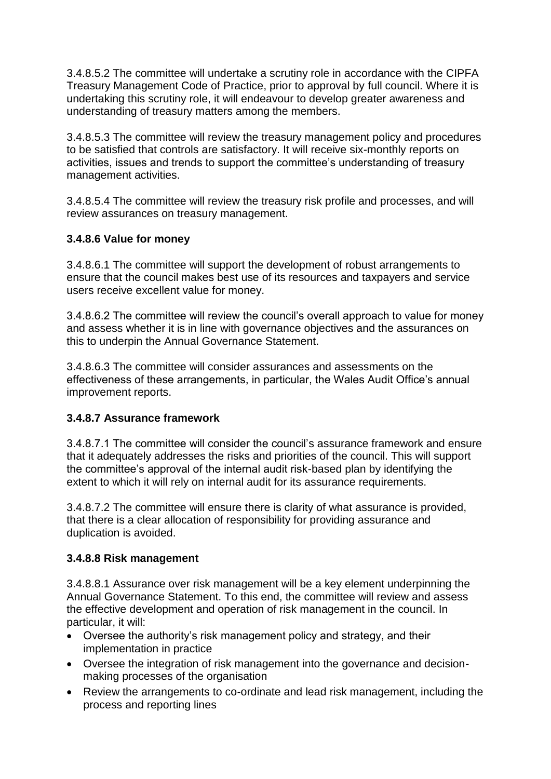3.4.8.5.2 The committee will undertake a scrutiny role in accordance with the CIPFA Treasury Management Code of Practice, prior to approval by full council. Where it is undertaking this scrutiny role, it will endeavour to develop greater awareness and understanding of treasury matters among the members.

3.4.8.5.3 The committee will review the treasury management policy and procedures to be satisfied that controls are satisfactory. It will receive six-monthly reports on activities, issues and trends to support the committee's understanding of treasury management activities.

3.4.8.5.4 The committee will review the treasury risk profile and processes, and will review assurances on treasury management.

#### **3.4.8.6 Value for money**

3.4.8.6.1 The committee will support the development of robust arrangements to ensure that the council makes best use of its resources and taxpayers and service users receive excellent value for money.

3.4.8.6.2 The committee will review the council's overall approach to value for money and assess whether it is in line with governance objectives and the assurances on this to underpin the Annual Governance Statement.

3.4.8.6.3 The committee will consider assurances and assessments on the effectiveness of these arrangements, in particular, the Wales Audit Office's annual improvement reports.

#### **3.4.8.7 Assurance framework**

3.4.8.7.1 The committee will consider the council's assurance framework and ensure that it adequately addresses the risks and priorities of the council. This will support the committee's approval of the internal audit risk-based plan by identifying the extent to which it will rely on internal audit for its assurance requirements.

3.4.8.7.2 The committee will ensure there is clarity of what assurance is provided, that there is a clear allocation of responsibility for providing assurance and duplication is avoided.

#### **3.4.8.8 Risk management**

3.4.8.8.1 Assurance over risk management will be a key element underpinning the Annual Governance Statement. To this end, the committee will review and assess the effective development and operation of risk management in the council. In particular, it will:

- Oversee the authority's risk management policy and strategy, and their implementation in practice
- Oversee the integration of risk management into the governance and decisionmaking processes of the organisation
- Review the arrangements to co-ordinate and lead risk management, including the process and reporting lines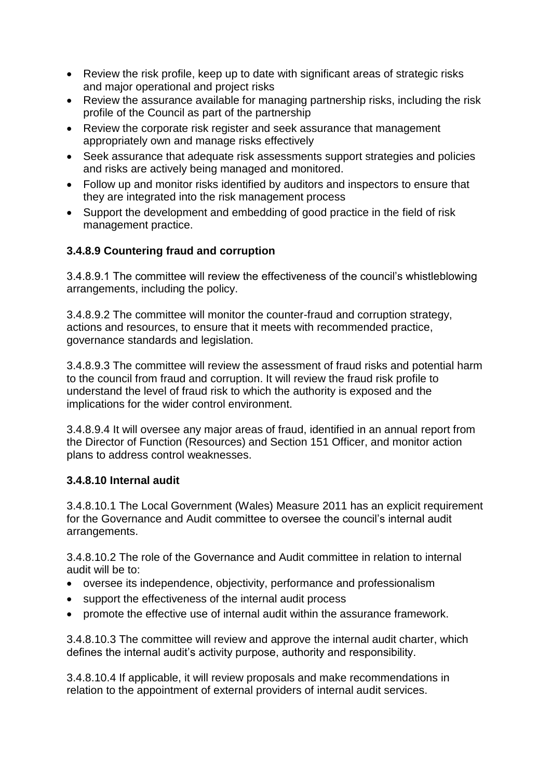- Review the risk profile, keep up to date with significant areas of strategic risks and major operational and project risks
- Review the assurance available for managing partnership risks, including the risk profile of the Council as part of the partnership
- Review the corporate risk register and seek assurance that management appropriately own and manage risks effectively
- Seek assurance that adequate risk assessments support strategies and policies and risks are actively being managed and monitored.
- Follow up and monitor risks identified by auditors and inspectors to ensure that they are integrated into the risk management process
- Support the development and embedding of good practice in the field of risk management practice.

### **3.4.8.9 Countering fraud and corruption**

3.4.8.9.1 The committee will review the effectiveness of the council's whistleblowing arrangements, including the policy.

3.4.8.9.2 The committee will monitor the counter-fraud and corruption strategy, actions and resources, to ensure that it meets with recommended practice, governance standards and legislation.

3.4.8.9.3 The committee will review the assessment of fraud risks and potential harm to the council from fraud and corruption. It will review the fraud risk profile to understand the level of fraud risk to which the authority is exposed and the implications for the wider control environment.

3.4.8.9.4 It will oversee any major areas of fraud, identified in an annual report from the Director of Function (Resources) and Section 151 Officer, and monitor action plans to address control weaknesses.

#### **3.4.8.10 Internal audit**

3.4.8.10.1 The Local Government (Wales) Measure 2011 has an explicit requirement for the Governance and Audit committee to oversee the council's internal audit arrangements.

3.4.8.10.2 The role of the Governance and Audit committee in relation to internal audit will be to:

- oversee its independence, objectivity, performance and professionalism
- support the effectiveness of the internal audit process
- promote the effective use of internal audit within the assurance framework.

3.4.8.10.3 The committee will review and approve the internal audit charter, which defines the internal audit's activity purpose, authority and responsibility.

3.4.8.10.4 If applicable, it will review proposals and make recommendations in relation to the appointment of external providers of internal audit services.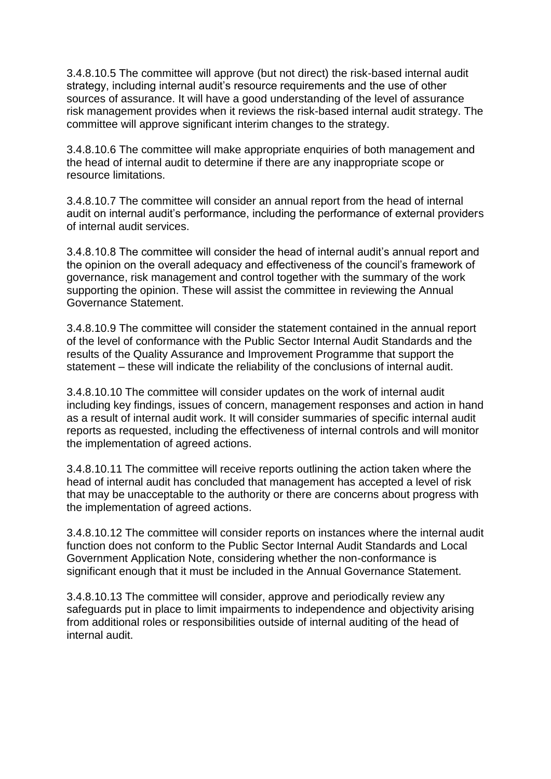3.4.8.10.5 The committee will approve (but not direct) the risk-based internal audit strategy, including internal audit's resource requirements and the use of other sources of assurance. It will have a good understanding of the level of assurance risk management provides when it reviews the risk-based internal audit strategy. The committee will approve significant interim changes to the strategy.

3.4.8.10.6 The committee will make appropriate enquiries of both management and the head of internal audit to determine if there are any inappropriate scope or resource limitations.

3.4.8.10.7 The committee will consider an annual report from the head of internal audit on internal audit's performance, including the performance of external providers of internal audit services.

3.4.8.10.8 The committee will consider the head of internal audit's annual report and the opinion on the overall adequacy and effectiveness of the council's framework of governance, risk management and control together with the summary of the work supporting the opinion. These will assist the committee in reviewing the Annual Governance Statement.

3.4.8.10.9 The committee will consider the statement contained in the annual report of the level of conformance with the Public Sector Internal Audit Standards and the results of the Quality Assurance and Improvement Programme that support the statement – these will indicate the reliability of the conclusions of internal audit.

3.4.8.10.10 The committee will consider updates on the work of internal audit including key findings, issues of concern, management responses and action in hand as a result of internal audit work. It will consider summaries of specific internal audit reports as requested, including the effectiveness of internal controls and will monitor the implementation of agreed actions.

3.4.8.10.11 The committee will receive reports outlining the action taken where the head of internal audit has concluded that management has accepted a level of risk that may be unacceptable to the authority or there are concerns about progress with the implementation of agreed actions.

3.4.8.10.12 The committee will consider reports on instances where the internal audit function does not conform to the Public Sector Internal Audit Standards and Local Government Application Note, considering whether the non-conformance is significant enough that it must be included in the Annual Governance Statement.

3.4.8.10.13 The committee will consider, approve and periodically review any safeguards put in place to limit impairments to independence and objectivity arising from additional roles or responsibilities outside of internal auditing of the head of internal audit.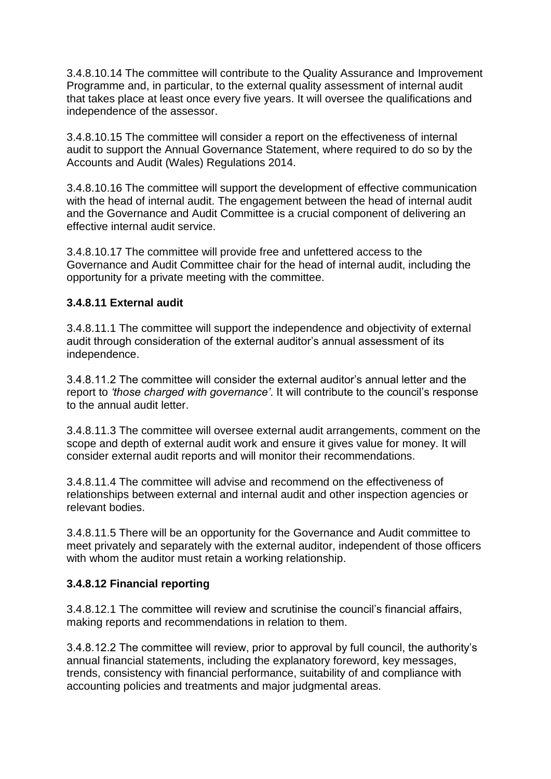3.4.8.10.14 The committee will contribute to the Quality Assurance and Improvement Programme and, in particular, to the external quality assessment of internal audit that takes place at least once every five years. It will oversee the qualifications and independence of the assessor.

3.4.8.10.15 The committee will consider a report on the effectiveness of internal audit to support the Annual Governance Statement, where required to do so by the Accounts and Audit (Wales) Regulations 2014.

3.4.8.10.16 The committee will support the development of effective communication with the head of internal audit. The engagement between the head of internal audit and the Governance and Audit Committee is a crucial component of delivering an effective internal audit service.

3.4.8.10.17 The committee will provide free and unfettered access to the Governance and Audit Committee chair for the head of internal audit, including the opportunity for a private meeting with the committee.

#### **3.4.8.11 External audit**

3.4.8.11.1 The committee will support the independence and objectivity of external audit through consideration of the external auditor's annual assessment of its independence.

3.4.8.11.2 The committee will consider the external auditor's annual letter and the report to *'those charged with governance'*. It will contribute to the council's response to the annual audit letter.

3.4.8.11.3 The committee will oversee external audit arrangements, comment on the scope and depth of external audit work and ensure it gives value for money. It will consider external audit reports and will monitor their recommendations.

3.4.8.11.4 The committee will advise and recommend on the effectiveness of relationships between external and internal audit and other inspection agencies or relevant bodies.

3.4.8.11.5 There will be an opportunity for the Governance and Audit committee to meet privately and separately with the external auditor, independent of those officers with whom the auditor must retain a working relationship.

#### **3.4.8.12 Financial reporting**

3.4.8.12.1 The committee will review and scrutinise the council's financial affairs, making reports and recommendations in relation to them.

3.4.8.12.2 The committee will review, prior to approval by full council, the authority's annual financial statements, including the explanatory foreword, key messages, trends, consistency with financial performance, suitability of and compliance with accounting policies and treatments and major judgmental areas.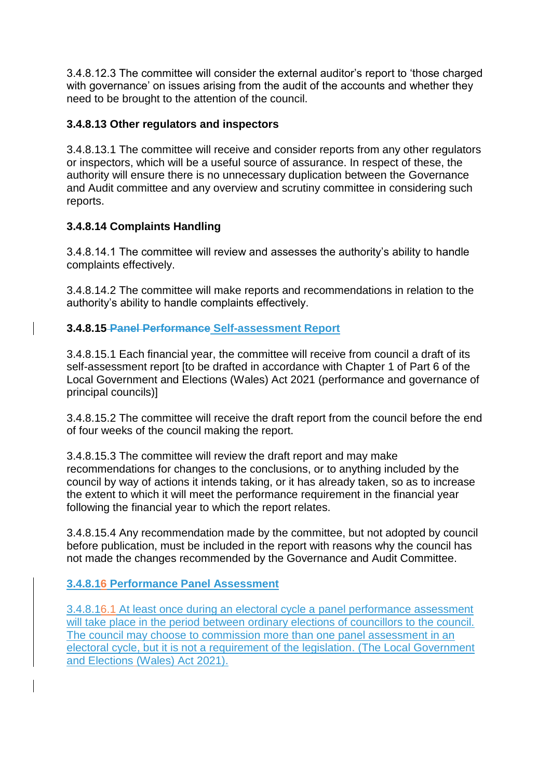3.4.8.12.3 The committee will consider the external auditor's report to 'those charged with governance' on issues arising from the audit of the accounts and whether they need to be brought to the attention of the council.

#### **3.4.8.13 Other regulators and inspectors**

3.4.8.13.1 The committee will receive and consider reports from any other regulators or inspectors, which will be a useful source of assurance. In respect of these, the authority will ensure there is no unnecessary duplication between the Governance and Audit committee and any overview and scrutiny committee in considering such reports.

#### **3.4.8.14 Complaints Handling**

3.4.8.14.1 The committee will review and assesses the authority's ability to handle complaints effectively.

3.4.8.14.2 The committee will make reports and recommendations in relation to the authority's ability to handle complaints effectively.

#### **3.4.8.15 Panel Performance Self-assessment Report**

3.4.8.15.1 Each financial year, the committee will receive from council a draft of its self-assessment report [to be drafted in accordance with Chapter 1 of Part 6 of the Local Government and Elections (Wales) Act 2021 (performance and governance of principal councils)]

3.4.8.15.2 The committee will receive the draft report from the council before the end of four weeks of the council making the report.

3.4.8.15.3 The committee will review the draft report and may make recommendations for changes to the conclusions, or to anything included by the council by way of actions it intends taking, or it has already taken, so as to increase the extent to which it will meet the performance requirement in the financial year following the financial year to which the report relates.

3.4.8.15.4 Any recommendation made by the committee, but not adopted by council before publication, must be included in the report with reasons why the council has not made the changes recommended by the Governance and Audit Committee.

#### **3.4.8.16 Performance Panel Assessment**

3.4.8.16.1 At least once during an electoral cycle a panel performance assessment will take place in the period between ordinary elections of councillors to the council. The council may choose to commission more than one panel assessment in an electoral cycle, but it is not a requirement of the legislation. (The Local Government and Elections (Wales) Act 2021).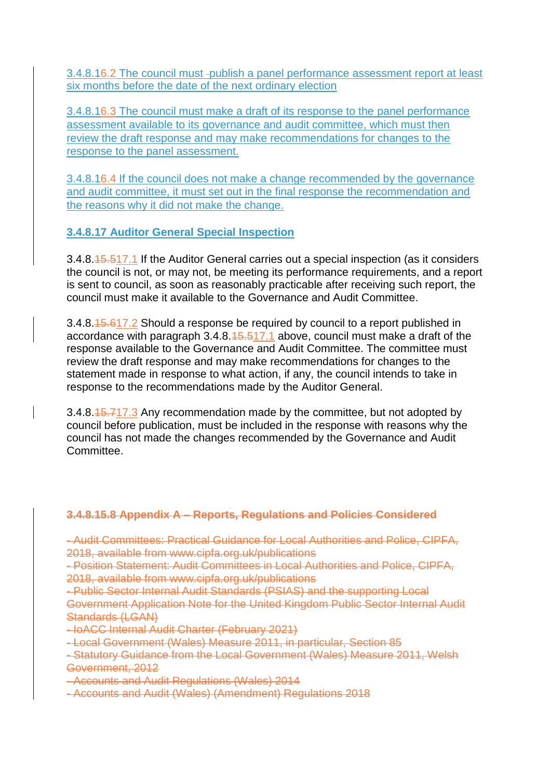3.4.8.16.2 The council must -publish a panel performance assessment report at least six months before the date of the next ordinary election

3.4.8.16.3 The council must make a draft of its response to the panel performance assessment available to its governance and audit committee, which must then review the draft response and may make recommendations for changes to the response to the panel assessment.

3.4.8.16.4 If the council does not make a change recommended by the governance and audit committee, it must set out in the final response the recommendation and the reasons why it did not make the change.

**3.4.8.17 Auditor General Special Inspection**

3.4.8.15.517.1 If the Auditor General carries out a special inspection (as it considers the council is not, or may not, be meeting its performance requirements, and a report is sent to council, as soon as reasonably practicable after receiving such report, the council must make it available to the Governance and Audit Committee.

3.4.8.15.617.2 Should a response be required by council to a report published in accordance with paragraph  $3.4.8.15.517.1$  above, council must make a draft of the response available to the Governance and Audit Committee. The committee must review the draft response and may make recommendations for changes to the statement made in response to what action, if any, the council intends to take in response to the recommendations made by the Auditor General.

3.4.8.15.717.3 Any recommendation made by the committee, but not adopted by council before publication, must be included in the response with reasons why the council has not made the changes recommended by the Governance and Audit Committee.

#### **3.4.8.15.8 Appendix A – Reports, Regulations and Policies Considered**

- Audit Committees: Practical Guidance for Local Authorities and Police, CIPFA, 2018, available from www.cipfa.org.uk/publications

- Position Statement: Audit Committees in Local Authorities and Police, CIPFA, 2018, available from www.cipfa.org.uk/publications

- Public Sector Internal Audit Standards (PSIAS) and the supporting Local Government Application Note for the United Kingdom Public Sector Internal Audit Standards (LGAN)

- IoACC Internal Audit Charter (February 2021)

- Local Government (Wales) Measure 2011, in particular, Section 85

- Statutory Guidance from the Local Government (Wales) Measure 2011, Welsh Government, 2012

- Accounts and Audit Regulations (Wales) 2014

- Accounts and Audit (Wales) (Amendment) Regulations 2018